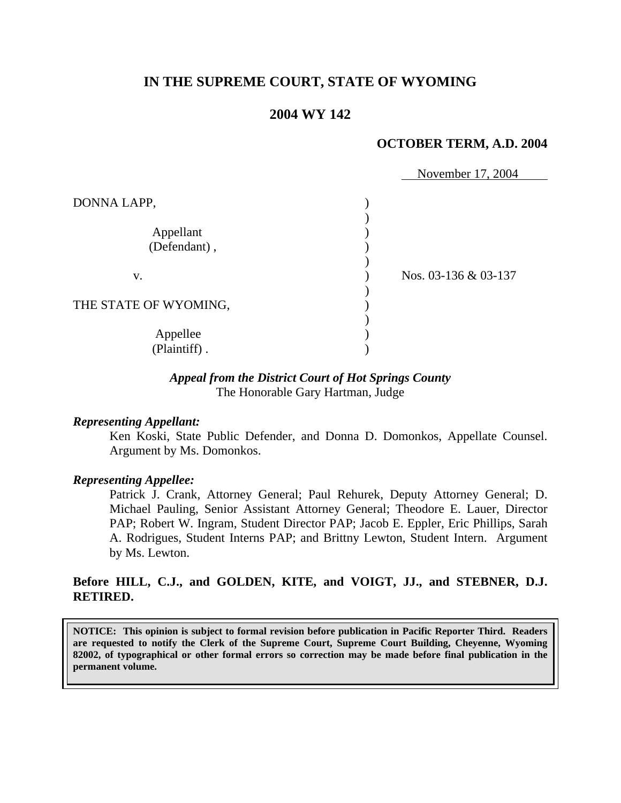## **IN THE SUPREME COURT, STATE OF WYOMING**

## **2004 WY 142**

#### **OCTOBER TERM, A.D. 2004**

|                          | November 17, 2004    |
|--------------------------|----------------------|
| DONNA LAPP,              |                      |
| Appellant                |                      |
| (Defendant),             |                      |
| V.                       | Nos. 03-136 & 03-137 |
| THE STATE OF WYOMING,    |                      |
| Appellee<br>(Plaintiff). |                      |

#### *Appeal from the District Court of Hot Springs County*

The Honorable Gary Hartman, Judge

#### *Representing Appellant:*

Ken Koski, State Public Defender, and Donna D. Domonkos, Appellate Counsel. Argument by Ms. Domonkos.

#### *Representing Appellee:*

Patrick J. Crank, Attorney General; Paul Rehurek, Deputy Attorney General; D. Michael Pauling, Senior Assistant Attorney General; Theodore E. Lauer, Director PAP; Robert W. Ingram, Student Director PAP; Jacob E. Eppler, Eric Phillips, Sarah A. Rodrigues, Student Interns PAP; and Brittny Lewton, Student Intern. Argument by Ms. Lewton.

### **Before HILL, C.J., and GOLDEN, KITE, and VOIGT, JJ., and STEBNER, D.J. RETIRED.**

**NOTICE: This opinion is subject to formal revision before publication in Pacific Reporter Third. Readers are requested to notify the Clerk of the Supreme Court, Supreme Court Building, Cheyenne, Wyoming 82002, of typographical or other formal errors so correction may be made before final publication in the permanent volume.**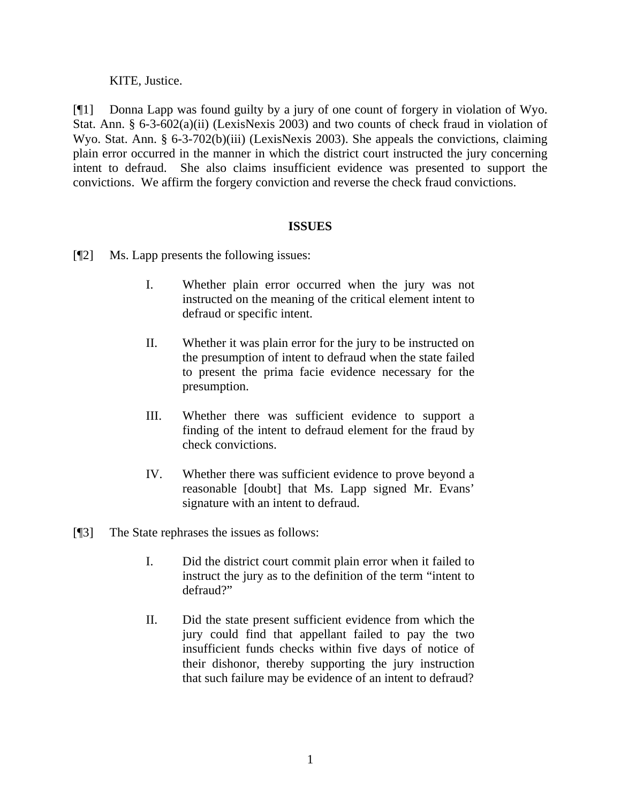KITE, Justice.

[¶1] Donna Lapp was found guilty by a jury of one count of forgery in violation of Wyo. Stat. Ann. § 6-3-602(a)(ii) (LexisNexis 2003) and two counts of check fraud in violation of Wyo. Stat. Ann. § 6-3-702(b)(iii) (LexisNexis 2003). She appeals the convictions, claiming plain error occurred in the manner in which the district court instructed the jury concerning intent to defraud. She also claims insufficient evidence was presented to support the convictions. We affirm the forgery conviction and reverse the check fraud convictions.

## **ISSUES**

- [¶2] Ms. Lapp presents the following issues:
	- I. Whether plain error occurred when the jury was not instructed on the meaning of the critical element intent to defraud or specific intent.
	- II. Whether it was plain error for the jury to be instructed on the presumption of intent to defraud when the state failed to present the prima facie evidence necessary for the presumption.
	- III. Whether there was sufficient evidence to support a finding of the intent to defraud element for the fraud by check convictions.
	- IV. Whether there was sufficient evidence to prove beyond a reasonable [doubt] that Ms. Lapp signed Mr. Evans' signature with an intent to defraud.
- [¶3] The State rephrases the issues as follows:
	- I. Did the district court commit plain error when it failed to instruct the jury as to the definition of the term "intent to defraud?"
	- II. Did the state present sufficient evidence from which the jury could find that appellant failed to pay the two insufficient funds checks within five days of notice of their dishonor, thereby supporting the jury instruction that such failure may be evidence of an intent to defraud?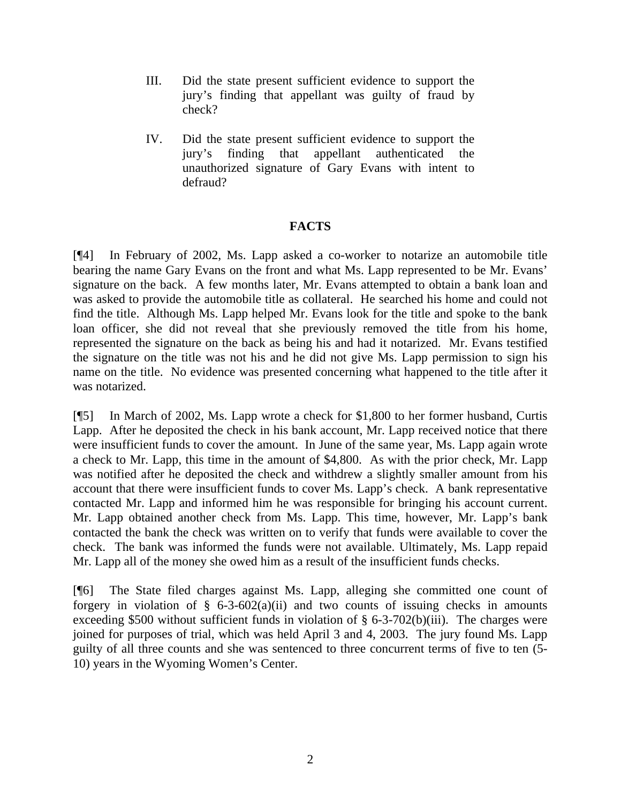- III. Did the state present sufficient evidence to support the jury's finding that appellant was guilty of fraud by check?
- IV. Did the state present sufficient evidence to support the jury's finding that appellant authenticated the unauthorized signature of Gary Evans with intent to defraud?

## **FACTS**

[¶4] In February of 2002, Ms. Lapp asked a co-worker to notarize an automobile title bearing the name Gary Evans on the front and what Ms. Lapp represented to be Mr. Evans' signature on the back. A few months later, Mr. Evans attempted to obtain a bank loan and was asked to provide the automobile title as collateral. He searched his home and could not find the title. Although Ms. Lapp helped Mr. Evans look for the title and spoke to the bank loan officer, she did not reveal that she previously removed the title from his home, represented the signature on the back as being his and had it notarized. Mr. Evans testified the signature on the title was not his and he did not give Ms. Lapp permission to sign his name on the title. No evidence was presented concerning what happened to the title after it was notarized.

[¶5] In March of 2002, Ms. Lapp wrote a check for \$1,800 to her former husband, Curtis Lapp. After he deposited the check in his bank account, Mr. Lapp received notice that there were insufficient funds to cover the amount. In June of the same year, Ms. Lapp again wrote a check to Mr. Lapp, this time in the amount of \$4,800. As with the prior check, Mr. Lapp was notified after he deposited the check and withdrew a slightly smaller amount from his account that there were insufficient funds to cover Ms. Lapp's check. A bank representative contacted Mr. Lapp and informed him he was responsible for bringing his account current. Mr. Lapp obtained another check from Ms. Lapp. This time, however, Mr. Lapp's bank contacted the bank the check was written on to verify that funds were available to cover the check. The bank was informed the funds were not available. Ultimately, Ms. Lapp repaid Mr. Lapp all of the money she owed him as a result of the insufficient funds checks.

[¶6] The State filed charges against Ms. Lapp, alleging she committed one count of forgery in violation of  $\S$  6-3-602(a)(ii) and two counts of issuing checks in amounts exceeding \$500 without sufficient funds in violation of  $\S$  6-3-702(b)(iii). The charges were joined for purposes of trial, which was held April 3 and 4, 2003. The jury found Ms. Lapp guilty of all three counts and she was sentenced to three concurrent terms of five to ten (5- 10) years in the Wyoming Women's Center.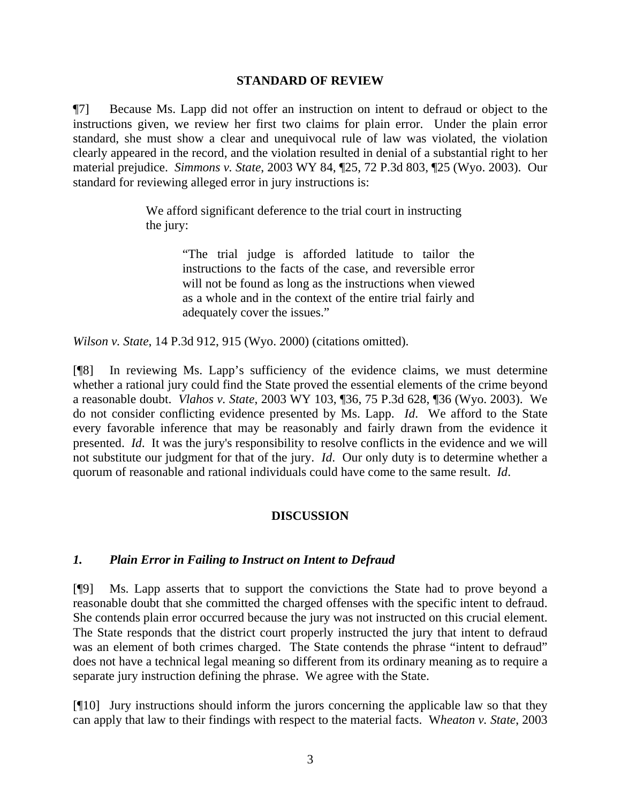### **STANDARD OF REVIEW**

¶7] Because Ms. Lapp did not offer an instruction on intent to defraud or object to the instructions given, we review her first two claims for plain error. Under the plain error standard, she must show a clear and unequivocal rule of law was violated, the violation clearly appeared in the record, and the violation resulted in denial of a substantial right to her material prejudice. *Simmons v. State*, 2003 WY 84, ¶25, 72 P.3d 803, ¶25 (Wyo. 2003). Our standard for reviewing alleged error in jury instructions is:

> We afford significant deference to the trial court in instructing the jury:

> > "The trial judge is afforded latitude to tailor the instructions to the facts of the case, and reversible error will not be found as long as the instructions when viewed as a whole and in the context of the entire trial fairly and adequately cover the issues."

*Wilson v. State*, 14 P.3d 912, 915 (Wyo. 2000) (citations omitted).

[¶8] In reviewing Ms. Lapp's sufficiency of the evidence claims, we must determine whether a rational jury could find the State proved the essential elements of the crime beyond a reasonable doubt. *Vlahos v. State*, 2003 WY 103, ¶36, 75 P.3d 628, ¶36 (Wyo. 2003). We do not consider conflicting evidence presented by Ms. Lapp. *Id*. We afford to the State every favorable inference that may be reasonably and fairly drawn from the evidence it presented. *Id*. It was the jury's responsibility to resolve conflicts in the evidence and we will not substitute our judgment for that of the jury. *Id*. Our only duty is to determine whether a quorum of reasonable and rational individuals could have come to the same result. *Id*.

## **DISCUSSION**

## *1. Plain Error in Failing to Instruct on Intent to Defraud*

[¶9] Ms. Lapp asserts that to support the convictions the State had to prove beyond a reasonable doubt that she committed the charged offenses with the specific intent to defraud. She contends plain error occurred because the jury was not instructed on this crucial element. The State responds that the district court properly instructed the jury that intent to defraud was an element of both crimes charged. The State contends the phrase "intent to defraud" does not have a technical legal meaning so different from its ordinary meaning as to require a separate jury instruction defining the phrase. We agree with the State.

[¶10] Jury instructions should inform the jurors concerning the applicable law so that they can apply that law to their findings with respect to the material facts. W*heaton v. State*, 2003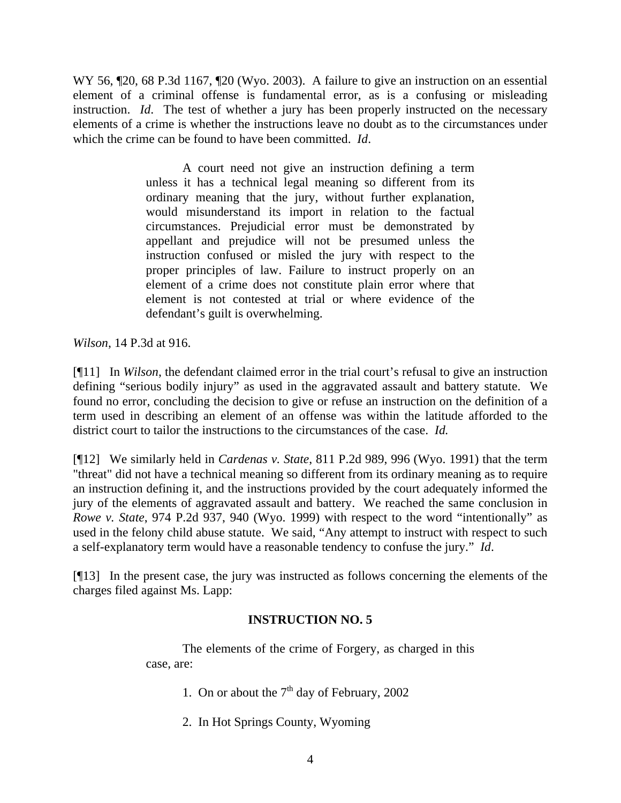WY 56,  $\llbracket 20$ , 68 P.3d 1167,  $\llbracket 20$  (Wyo. 2003). A failure to give an instruction on an essential element of a criminal offense is fundamental error, as is a confusing or misleading instruction. *Id*. The test of whether a jury has been properly instructed on the necessary elements of a crime is whether the instructions leave no doubt as to the circumstances under which the crime can be found to have been committed. *Id*.

> A court need not give an instruction defining a term unless it has a technical legal meaning so different from its ordinary meaning that the jury, without further explanation, would misunderstand its import in relation to the factual circumstances. Prejudicial error must be demonstrated by appellant and prejudice will not be presumed unless the instruction confused or misled the jury with respect to the proper principles of law. Failure to instruct properly on an element of a crime does not constitute plain error where that element is not contested at trial or where evidence of the defendant's guilt is overwhelming.

*Wilson*, 14 P.3d at 916.

[¶11] In *Wilson*, the defendant claimed error in the trial court's refusal to give an instruction defining "serious bodily injury" as used in the aggravated assault and battery statute. We found no error, concluding the decision to give or refuse an instruction on the definition of a term used in describing an element of an offense was within the latitude afforded to the district court to tailor the instructions to the circumstances of the case. *Id.*

[¶12] We similarly held in *Cardenas v. State*, 811 P.2d 989, 996 (Wyo. 1991) that the term "threat" did not have a technical meaning so different from its ordinary meaning as to require an instruction defining it, and the instructions provided by the court adequately informed the jury of the elements of aggravated assault and battery. We reached the same conclusion in *Rowe v. State*, 974 P.2d 937, 940 (Wyo. 1999) with respect to the word "intentionally" as used in the felony child abuse statute. We said, "Any attempt to instruct with respect to such a self-explanatory term would have a reasonable tendency to confuse the jury." *Id*.

[¶13] In the present case, the jury was instructed as follows concerning the elements of the charges filed against Ms. Lapp:

## **INSTRUCTION NO. 5**

The elements of the crime of Forgery, as charged in this case, are:

- 1. On or about the  $7<sup>th</sup>$  day of February, 2002
- 2. In Hot Springs County, Wyoming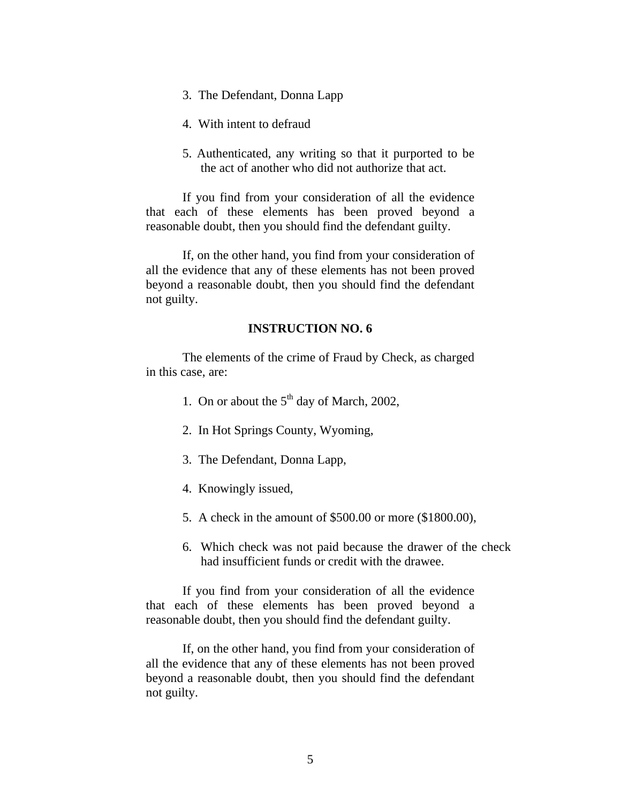- 3. The Defendant, Donna Lapp
- 4. With intent to defraud
- 5. Authenticated, any writing so that it purported to be the act of another who did not authorize that act.

If you find from your consideration of all the evidence that each of these elements has been proved beyond a reasonable doubt, then you should find the defendant guilty.

If, on the other hand, you find from your consideration of all the evidence that any of these elements has not been proved beyond a reasonable doubt, then you should find the defendant not guilty.

#### **INSTRUCTION NO. 6**

The elements of the crime of Fraud by Check, as charged in this case, are:

- 1. On or about the  $5<sup>th</sup>$  day of March, 2002,
- 2. In Hot Springs County, Wyoming,
- 3. The Defendant, Donna Lapp,
- 4. Knowingly issued,
- 5. A check in the amount of \$500.00 or more (\$1800.00),
- 6. Which check was not paid because the drawer of the check had insufficient funds or credit with the drawee.

If you find from your consideration of all the evidence that each of these elements has been proved beyond a reasonable doubt, then you should find the defendant guilty.

If, on the other hand, you find from your consideration of all the evidence that any of these elements has not been proved beyond a reasonable doubt, then you should find the defendant not guilty.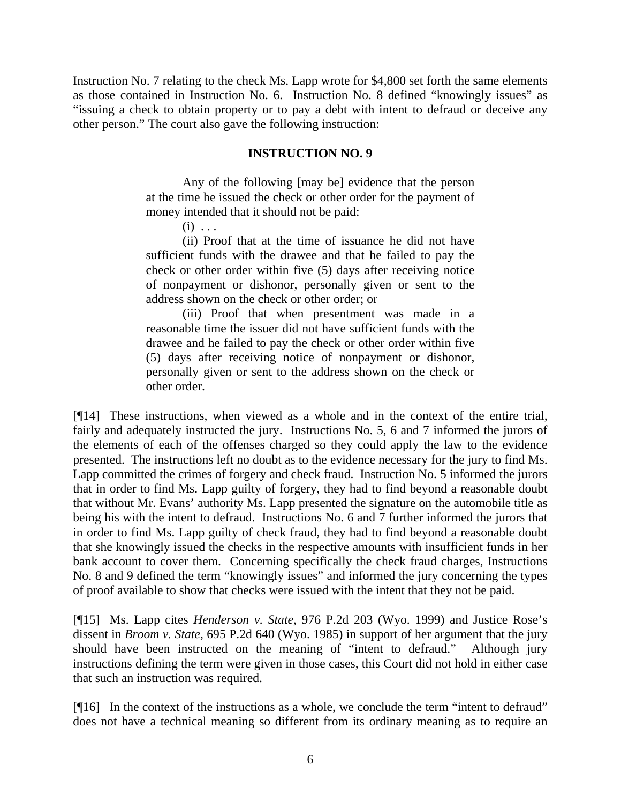Instruction No. 7 relating to the check Ms. Lapp wrote for \$4,800 set forth the same elements as those contained in Instruction No. 6. Instruction No. 8 defined "knowingly issues" as "issuing a check to obtain property or to pay a debt with intent to defraud or deceive any other person." The court also gave the following instruction:

#### **INSTRUCTION NO. 9**

Any of the following [may be] evidence that the person at the time he issued the check or other order for the payment of money intended that it should not be paid:

 $(i)$  ...

(ii) Proof that at the time of issuance he did not have sufficient funds with the drawee and that he failed to pay the check or other order within five (5) days after receiving notice of nonpayment or dishonor, personally given or sent to the address shown on the check or other order; or

(iii) Proof that when presentment was made in a reasonable time the issuer did not have sufficient funds with the drawee and he failed to pay the check or other order within five (5) days after receiving notice of nonpayment or dishonor, personally given or sent to the address shown on the check or other order.

[¶14] These instructions, when viewed as a whole and in the context of the entire trial, fairly and adequately instructed the jury. Instructions No. 5, 6 and 7 informed the jurors of the elements of each of the offenses charged so they could apply the law to the evidence presented. The instructions left no doubt as to the evidence necessary for the jury to find Ms. Lapp committed the crimes of forgery and check fraud. Instruction No. 5 informed the jurors that in order to find Ms. Lapp guilty of forgery, they had to find beyond a reasonable doubt that without Mr. Evans' authority Ms. Lapp presented the signature on the automobile title as being his with the intent to defraud. Instructions No. 6 and 7 further informed the jurors that in order to find Ms. Lapp guilty of check fraud, they had to find beyond a reasonable doubt that she knowingly issued the checks in the respective amounts with insufficient funds in her bank account to cover them. Concerning specifically the check fraud charges, Instructions No. 8 and 9 defined the term "knowingly issues" and informed the jury concerning the types of proof available to show that checks were issued with the intent that they not be paid.

[¶15] Ms. Lapp cites *Henderson v. State*, 976 P.2d 203 (Wyo. 1999) and Justice Rose's dissent in *Broom v. State*, 695 P.2d 640 (Wyo. 1985) in support of her argument that the jury should have been instructed on the meaning of "intent to defraud." Although jury instructions defining the term were given in those cases, this Court did not hold in either case that such an instruction was required.

[¶16] In the context of the instructions as a whole, we conclude the term "intent to defraud" does not have a technical meaning so different from its ordinary meaning as to require an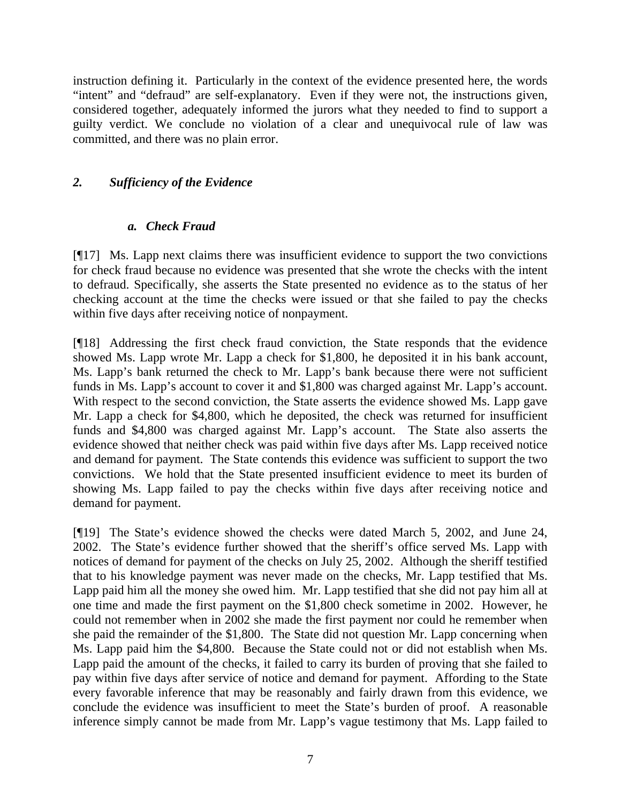instruction defining it. Particularly in the context of the evidence presented here, the words "intent" and "defraud" are self-explanatory. Even if they were not, the instructions given, considered together, adequately informed the jurors what they needed to find to support a guilty verdict. We conclude no violation of a clear and unequivocal rule of law was committed, and there was no plain error.

## *2. Sufficiency of the Evidence*

## *a. Check Fraud*

[¶17] Ms. Lapp next claims there was insufficient evidence to support the two convictions for check fraud because no evidence was presented that she wrote the checks with the intent to defraud. Specifically, she asserts the State presented no evidence as to the status of her checking account at the time the checks were issued or that she failed to pay the checks within five days after receiving notice of nonpayment.

[¶18] Addressing the first check fraud conviction, the State responds that the evidence showed Ms. Lapp wrote Mr. Lapp a check for \$1,800, he deposited it in his bank account, Ms. Lapp's bank returned the check to Mr. Lapp's bank because there were not sufficient funds in Ms. Lapp's account to cover it and \$1,800 was charged against Mr. Lapp's account. With respect to the second conviction, the State asserts the evidence showed Ms. Lapp gave Mr. Lapp a check for \$4,800, which he deposited, the check was returned for insufficient funds and \$4,800 was charged against Mr. Lapp's account. The State also asserts the evidence showed that neither check was paid within five days after Ms. Lapp received notice and demand for payment. The State contends this evidence was sufficient to support the two convictions. We hold that the State presented insufficient evidence to meet its burden of showing Ms. Lapp failed to pay the checks within five days after receiving notice and demand for payment.

[¶19] The State's evidence showed the checks were dated March 5, 2002, and June 24, 2002. The State's evidence further showed that the sheriff's office served Ms. Lapp with notices of demand for payment of the checks on July 25, 2002. Although the sheriff testified that to his knowledge payment was never made on the checks, Mr. Lapp testified that Ms. Lapp paid him all the money she owed him. Mr. Lapp testified that she did not pay him all at one time and made the first payment on the \$1,800 check sometime in 2002. However, he could not remember when in 2002 she made the first payment nor could he remember when she paid the remainder of the \$1,800. The State did not question Mr. Lapp concerning when Ms. Lapp paid him the \$4,800. Because the State could not or did not establish when Ms. Lapp paid the amount of the checks, it failed to carry its burden of proving that she failed to pay within five days after service of notice and demand for payment. Affording to the State every favorable inference that may be reasonably and fairly drawn from this evidence, we conclude the evidence was insufficient to meet the State's burden of proof. A reasonable inference simply cannot be made from Mr. Lapp's vague testimony that Ms. Lapp failed to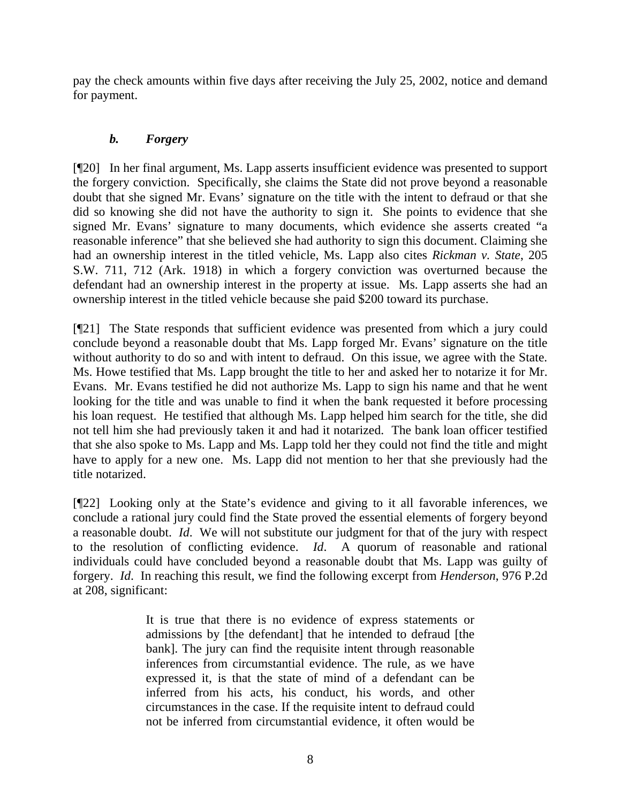pay the check amounts within five days after receiving the July 25, 2002, notice and demand for payment.

# *b. Forgery*

[¶20] In her final argument, Ms. Lapp asserts insufficient evidence was presented to support the forgery conviction. Specifically, she claims the State did not prove beyond a reasonable doubt that she signed Mr. Evans' signature on the title with the intent to defraud or that she did so knowing she did not have the authority to sign it. She points to evidence that she signed Mr. Evans' signature to many documents, which evidence she asserts created "a reasonable inference" that she believed she had authority to sign this document. Claiming she had an ownership interest in the titled vehicle, Ms. Lapp also cites *Rickman v. State*, 205 S.W. 711, 712 (Ark. 1918) in which a forgery conviction was overturned because the defendant had an ownership interest in the property at issue. Ms. Lapp asserts she had an ownership interest in the titled vehicle because she paid \$200 toward its purchase.

[¶21] The State responds that sufficient evidence was presented from which a jury could conclude beyond a reasonable doubt that Ms. Lapp forged Mr. Evans' signature on the title without authority to do so and with intent to defraud. On this issue, we agree with the State. Ms. Howe testified that Ms. Lapp brought the title to her and asked her to notarize it for Mr. Evans. Mr. Evans testified he did not authorize Ms. Lapp to sign his name and that he went looking for the title and was unable to find it when the bank requested it before processing his loan request. He testified that although Ms. Lapp helped him search for the title, she did not tell him she had previously taken it and had it notarized. The bank loan officer testified that she also spoke to Ms. Lapp and Ms. Lapp told her they could not find the title and might have to apply for a new one. Ms. Lapp did not mention to her that she previously had the title notarized.

[¶22] Looking only at the State's evidence and giving to it all favorable inferences, we conclude a rational jury could find the State proved the essential elements of forgery beyond a reasonable doubt. *Id*. We will not substitute our judgment for that of the jury with respect to the resolution of conflicting evidence. *Id*. A quorum of reasonable and rational individuals could have concluded beyond a reasonable doubt that Ms. Lapp was guilty of forgery. *Id*. In reaching this result, we find the following excerpt from *Henderson*, 976 P.2d at 208, significant:

> It is true that there is no evidence of express statements or admissions by [the defendant] that he intended to defraud [the bank]. The jury can find the requisite intent through reasonable inferences from circumstantial evidence. The rule, as we have expressed it, is that the state of mind of a defendant can be inferred from his acts, his conduct, his words, and other circumstances in the case. If the requisite intent to defraud could not be inferred from circumstantial evidence, it often would be